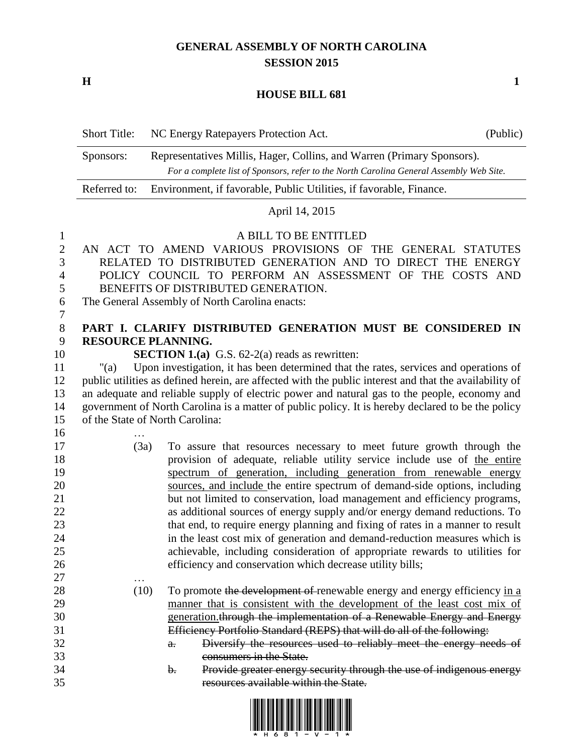## **GENERAL ASSEMBLY OF NORTH CAROLINA SESSION 2015**

**H 1**

…

## **HOUSE BILL 681**

|                                | <b>Short Title:</b>                                                                                                    | NC Energy Ratepayers Protection Act.                                                                                                                              | (Public) |  |  |
|--------------------------------|------------------------------------------------------------------------------------------------------------------------|-------------------------------------------------------------------------------------------------------------------------------------------------------------------|----------|--|--|
|                                | Sponsors:                                                                                                              | Representatives Millis, Hager, Collins, and Warren (Primary Sponsors).<br>For a complete list of Sponsors, refer to the North Carolina General Assembly Web Site. |          |  |  |
|                                | Referred to:                                                                                                           | Environment, if favorable, Public Utilities, if favorable, Finance.                                                                                               |          |  |  |
|                                |                                                                                                                        | April 14, 2015                                                                                                                                                    |          |  |  |
| $\mathbf{1}$<br>$\overline{2}$ |                                                                                                                        | A BILL TO BE ENTITLED<br>AN ACT TO AMEND VARIOUS PROVISIONS OF THE GENERAL STATUTES                                                                               |          |  |  |
| 3<br>$\overline{4}$            | RELATED TO DISTRIBUTED GENERATION AND TO DIRECT THE ENERGY<br>POLICY COUNCIL TO PERFORM AN ASSESSMENT OF THE COSTS AND |                                                                                                                                                                   |          |  |  |
| 5                              | BENEFITS OF DISTRIBUTED GENERATION.                                                                                    |                                                                                                                                                                   |          |  |  |
| 6<br>7                         |                                                                                                                        | The General Assembly of North Carolina enacts:                                                                                                                    |          |  |  |
| 8                              |                                                                                                                        | PART I. CLARIFY DISTRIBUTED GENERATION MUST BE CONSIDERED IN                                                                                                      |          |  |  |
| 9                              | RESOURCE PLANNING.                                                                                                     |                                                                                                                                                                   |          |  |  |
| 10<br>11                       | "(a)                                                                                                                   | <b>SECTION 1.(a)</b> G.S. $62-2(a)$ reads as rewritten:<br>Upon investigation, it has been determined that the rates, services and operations of                  |          |  |  |
| 12                             |                                                                                                                        | public utilities as defined herein, are affected with the public interest and that the availability of                                                            |          |  |  |
| 13                             |                                                                                                                        | an adequate and reliable supply of electric power and natural gas to the people, economy and                                                                      |          |  |  |
| 14                             | government of North Carolina is a matter of public policy. It is hereby declared to be the policy                      |                                                                                                                                                                   |          |  |  |
| 15                             |                                                                                                                        | of the State of North Carolina:                                                                                                                                   |          |  |  |
| 16                             |                                                                                                                        |                                                                                                                                                                   |          |  |  |
| 17                             |                                                                                                                        | (3a)<br>To assure that resources necessary to meet future growth through the                                                                                      |          |  |  |
| 18                             |                                                                                                                        | provision of adequate, reliable utility service include use of the entire                                                                                         |          |  |  |
| 19                             |                                                                                                                        | spectrum of generation, including generation from renewable energy                                                                                                |          |  |  |
| 20<br>21                       |                                                                                                                        | sources, and include the entire spectrum of demand-side options, including<br>but not limited to conservation, load management and efficiency programs,           |          |  |  |
| 22                             |                                                                                                                        | as additional sources of energy supply and/or energy demand reductions. To                                                                                        |          |  |  |
| 23                             |                                                                                                                        | that end, to require energy planning and fixing of rates in a manner to result                                                                                    |          |  |  |
| 24                             |                                                                                                                        | in the least cost mix of generation and demand-reduction measures which is                                                                                        |          |  |  |
| 25                             |                                                                                                                        | achievable, including consideration of appropriate rewards to utilities for                                                                                       |          |  |  |
| 26                             |                                                                                                                        | efficiency and conservation which decrease utility bills;                                                                                                         |          |  |  |

- 28 (10) To promote the development of renewable energy and energy efficiency in a 29 manner that is consistent with the development of the least cost mix of generation.through the implementation of a Renewable Energy and Energy Efficiency Portfolio Standard (REPS) that will do all of the following: a. Diversify the resources used to reliably meet the energy needs of
- consumers in the State.
- b. Provide greater energy security through the use of indigenous energy resources available within the State.

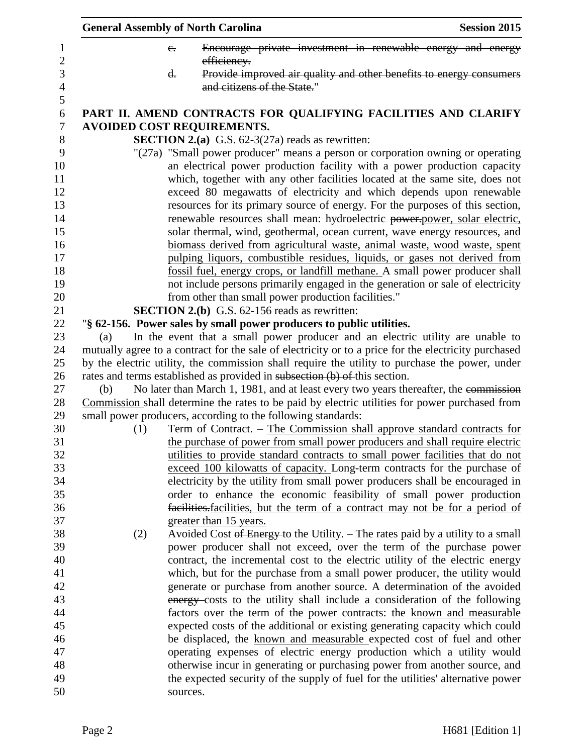| <b>General Assembly of North Carolina</b> |                                                                                                                                                                                                                                                                                                                                                                                                     | <b>Session 2015</b> |  |
|-------------------------------------------|-----------------------------------------------------------------------------------------------------------------------------------------------------------------------------------------------------------------------------------------------------------------------------------------------------------------------------------------------------------------------------------------------------|---------------------|--|
|                                           | Encourage private investment in renewable energy and energy<br>$e_{i}$<br>efficiency.                                                                                                                                                                                                                                                                                                               |                     |  |
|                                           | Provide improved air quality and other benefits to energy consumers<br>$\mathbf{d}$ .                                                                                                                                                                                                                                                                                                               |                     |  |
|                                           | and citizens of the State."                                                                                                                                                                                                                                                                                                                                                                         |                     |  |
|                                           | PART II. AMEND CONTRACTS FOR QUALIFYING FACILITIES AND CLARIFY<br><b>AVOIDED COST REQUIREMENTS.</b>                                                                                                                                                                                                                                                                                                 |                     |  |
|                                           | <b>SECTION 2.(a)</b> G.S. $62-3(27a)$ reads as rewritten:                                                                                                                                                                                                                                                                                                                                           |                     |  |
|                                           | "(27a) "Small power producer" means a person or corporation owning or operating<br>an electrical power production facility with a power production capacity<br>which, together with any other facilities located at the same site, does not<br>exceed 80 megawatts of electricity and which depends upon renewable<br>resources for its primary source of energy. For the purposes of this section, |                     |  |
|                                           | renewable resources shall mean: hydroelectric power-power, solar electric,<br>solar thermal, wind, geothermal, ocean current, wave energy resources, and                                                                                                                                                                                                                                            |                     |  |
|                                           | biomass derived from agricultural waste, animal waste, wood waste, spent                                                                                                                                                                                                                                                                                                                            |                     |  |
|                                           | pulping liquors, combustible residues, liquids, or gases not derived from                                                                                                                                                                                                                                                                                                                           |                     |  |
|                                           | fossil fuel, energy crops, or landfill methane. A small power producer shall                                                                                                                                                                                                                                                                                                                        |                     |  |
|                                           | not include persons primarily engaged in the generation or sale of electricity                                                                                                                                                                                                                                                                                                                      |                     |  |
|                                           | from other than small power production facilities."                                                                                                                                                                                                                                                                                                                                                 |                     |  |
|                                           | <b>SECTION 2.(b)</b> G.S. 62-156 reads as rewritten:                                                                                                                                                                                                                                                                                                                                                |                     |  |
|                                           | "§ 62-156. Power sales by small power producers to public utilities.                                                                                                                                                                                                                                                                                                                                |                     |  |
| (a)                                       | In the event that a small power producer and an electric utility are unable to                                                                                                                                                                                                                                                                                                                      |                     |  |
|                                           | mutually agree to a contract for the sale of electricity or to a price for the electricity purchased                                                                                                                                                                                                                                                                                                |                     |  |
|                                           | by the electric utility, the commission shall require the utility to purchase the power, under                                                                                                                                                                                                                                                                                                      |                     |  |
|                                           | rates and terms established as provided in subsection (b) of this section.                                                                                                                                                                                                                                                                                                                          |                     |  |
| (b)                                       | No later than March 1, 1981, and at least every two years thereafter, the commission                                                                                                                                                                                                                                                                                                                |                     |  |
|                                           | Commission shall determine the rates to be paid by electric utilities for power purchased from                                                                                                                                                                                                                                                                                                      |                     |  |
|                                           | small power producers, according to the following standards:                                                                                                                                                                                                                                                                                                                                        |                     |  |
| (1)                                       | Term of Contract. – The Commission shall approve standard contracts for                                                                                                                                                                                                                                                                                                                             |                     |  |
|                                           | the purchase of power from small power producers and shall require electric                                                                                                                                                                                                                                                                                                                         |                     |  |
|                                           | utilities to provide standard contracts to small power facilities that do not                                                                                                                                                                                                                                                                                                                       |                     |  |
|                                           | exceed 100 kilowatts of capacity. Long-term contracts for the purchase of                                                                                                                                                                                                                                                                                                                           |                     |  |
|                                           | electricity by the utility from small power producers shall be encouraged in<br>order to enhance the economic feasibility of small power production                                                                                                                                                                                                                                                 |                     |  |
|                                           | facilities-facilities, but the term of a contract may not be for a period of                                                                                                                                                                                                                                                                                                                        |                     |  |
|                                           | greater than 15 years.                                                                                                                                                                                                                                                                                                                                                                              |                     |  |
| (2)                                       | Avoided Cost of Energy to the Utility. – The rates paid by a utility to a small                                                                                                                                                                                                                                                                                                                     |                     |  |
|                                           | power producer shall not exceed, over the term of the purchase power                                                                                                                                                                                                                                                                                                                                |                     |  |
|                                           | contract, the incremental cost to the electric utility of the electric energy                                                                                                                                                                                                                                                                                                                       |                     |  |
|                                           | which, but for the purchase from a small power producer, the utility would                                                                                                                                                                                                                                                                                                                          |                     |  |
|                                           | generate or purchase from another source. A determination of the avoided                                                                                                                                                                                                                                                                                                                            |                     |  |
|                                           | energy-costs to the utility shall include a consideration of the following                                                                                                                                                                                                                                                                                                                          |                     |  |
|                                           | factors over the term of the power contracts: the known and measurable                                                                                                                                                                                                                                                                                                                              |                     |  |
|                                           | expected costs of the additional or existing generating capacity which could                                                                                                                                                                                                                                                                                                                        |                     |  |
|                                           | be displaced, the known and measurable expected cost of fuel and other                                                                                                                                                                                                                                                                                                                              |                     |  |
|                                           | operating expenses of electric energy production which a utility would                                                                                                                                                                                                                                                                                                                              |                     |  |
|                                           | otherwise incur in generating or purchasing power from another source, and                                                                                                                                                                                                                                                                                                                          |                     |  |
|                                           | the expected security of the supply of fuel for the utilities' alternative power                                                                                                                                                                                                                                                                                                                    |                     |  |
|                                           | sources.                                                                                                                                                                                                                                                                                                                                                                                            |                     |  |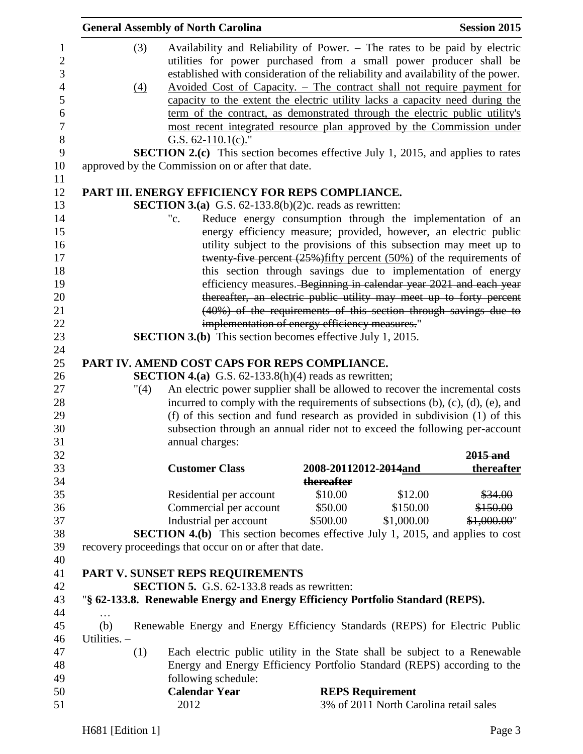|              |            | <b>General Assembly of North Carolina</b>                                                                                                                                                                                                                                                                                                                    |                         |            | <b>Session 2015</b>   |
|--------------|------------|--------------------------------------------------------------------------------------------------------------------------------------------------------------------------------------------------------------------------------------------------------------------------------------------------------------------------------------------------------------|-------------------------|------------|-----------------------|
|              | (3)<br>(4) | Availability and Reliability of Power. – The rates to be paid by electric<br>utilities for power purchased from a small power producer shall be<br>established with consideration of the reliability and availability of the power.<br>Avoided Cost of Capacity. - The contract shall not require payment for                                                |                         |            |                       |
|              |            | capacity to the extent the electric utility lacks a capacity need during the<br>term of the contract, as demonstrated through the electric public utility's                                                                                                                                                                                                  |                         |            |                       |
|              |            | most recent integrated resource plan approved by the Commission under<br>G.S. $62-110.1(c)$ ."                                                                                                                                                                                                                                                               |                         |            |                       |
|              |            | <b>SECTION 2.(c)</b> This section becomes effective July 1, 2015, and applies to rates                                                                                                                                                                                                                                                                       |                         |            |                       |
|              |            | approved by the Commission on or after that date.                                                                                                                                                                                                                                                                                                            |                         |            |                       |
|              |            | PART III. ENERGY EFFICIENCY FOR REPS COMPLIANCE.                                                                                                                                                                                                                                                                                                             |                         |            |                       |
|              |            | <b>SECTION 3.(a)</b> G.S. $62-133.8(b)(2)c$ . reads as rewritten:                                                                                                                                                                                                                                                                                            |                         |            |                       |
|              |            | Reduce energy consumption through the implementation of an<br>"c.                                                                                                                                                                                                                                                                                            |                         |            |                       |
|              |            | energy efficiency measure; provided, however, an electric public                                                                                                                                                                                                                                                                                             |                         |            |                       |
|              |            | utility subject to the provisions of this subsection may meet up to                                                                                                                                                                                                                                                                                          |                         |            |                       |
|              |            | twenty-five percent $(25%)$ fifty percent $(50%)$ of the requirements of                                                                                                                                                                                                                                                                                     |                         |            |                       |
|              |            | this section through savings due to implementation of energy                                                                                                                                                                                                                                                                                                 |                         |            |                       |
|              |            | efficiency measures. Beginning in calendar year 2021 and each year                                                                                                                                                                                                                                                                                           |                         |            |                       |
|              |            | thereafter, an electric public utility may meet up to forty percent                                                                                                                                                                                                                                                                                          |                         |            |                       |
|              |            | (40%) of the requirements of this section through savings due to                                                                                                                                                                                                                                                                                             |                         |            |                       |
|              |            | implementation of energy efficiency measures."                                                                                                                                                                                                                                                                                                               |                         |            |                       |
|              |            | <b>SECTION 3.(b)</b> This section becomes effective July 1, 2015.                                                                                                                                                                                                                                                                                            |                         |            |                       |
|              | "(4)       | <b>SECTION 4.(a)</b> G.S. $62-133.8(h)(4)$ reads as rewritten;                                                                                                                                                                                                                                                                                               |                         |            |                       |
|              |            | An electric power supplier shall be allowed to recover the incremental costs<br>incurred to comply with the requirements of subsections $(b)$ , $(c)$ , $(d)$ , $(e)$ , and<br>(f) of this section and fund research as provided in subdivision (1) of this<br>subsection through an annual rider not to exceed the following per-account<br>annual charges: |                         |            | $2015$ and            |
|              |            | <b>Customer Class</b>                                                                                                                                                                                                                                                                                                                                        | 2008-20112012-2014and   |            |                       |
|              |            |                                                                                                                                                                                                                                                                                                                                                              | thereafter              |            |                       |
|              |            | Residential per account                                                                                                                                                                                                                                                                                                                                      | \$10.00                 | \$12.00    | thereafter<br>\$34.00 |
|              |            | Commercial per account                                                                                                                                                                                                                                                                                                                                       | \$50.00                 | \$150.00   | \$150.00              |
|              |            | Industrial per account                                                                                                                                                                                                                                                                                                                                       | \$500.00                | \$1,000.00 | \$1,000.00"           |
|              |            | <b>SECTION 4.(b)</b> This section becomes effective July 1, 2015, and applies to cost<br>recovery proceedings that occur on or after that date.                                                                                                                                                                                                              |                         |            |                       |
|              |            |                                                                                                                                                                                                                                                                                                                                                              |                         |            |                       |
|              |            | PART V. SUNSET REPS REQUIREMENTS                                                                                                                                                                                                                                                                                                                             |                         |            |                       |
|              |            | <b>SECTION 5.</b> G.S. 62-133.8 reads as rewritten:                                                                                                                                                                                                                                                                                                          |                         |            |                       |
|              |            | "§ 62-133.8. Renewable Energy and Energy Efficiency Portfolio Standard (REPS).                                                                                                                                                                                                                                                                               |                         |            |                       |
| (b)          |            | Renewable Energy and Energy Efficiency Standards (REPS) for Electric Public                                                                                                                                                                                                                                                                                  |                         |            |                       |
| Utilities. - | (1)        | Each electric public utility in the State shall be subject to a Renewable                                                                                                                                                                                                                                                                                    |                         |            |                       |
|              |            | Energy and Energy Efficiency Portfolio Standard (REPS) according to the                                                                                                                                                                                                                                                                                      |                         |            |                       |
|              |            | following schedule:                                                                                                                                                                                                                                                                                                                                          |                         |            |                       |
|              |            | <b>Calendar Year</b>                                                                                                                                                                                                                                                                                                                                         | <b>REPS Requirement</b> |            |                       |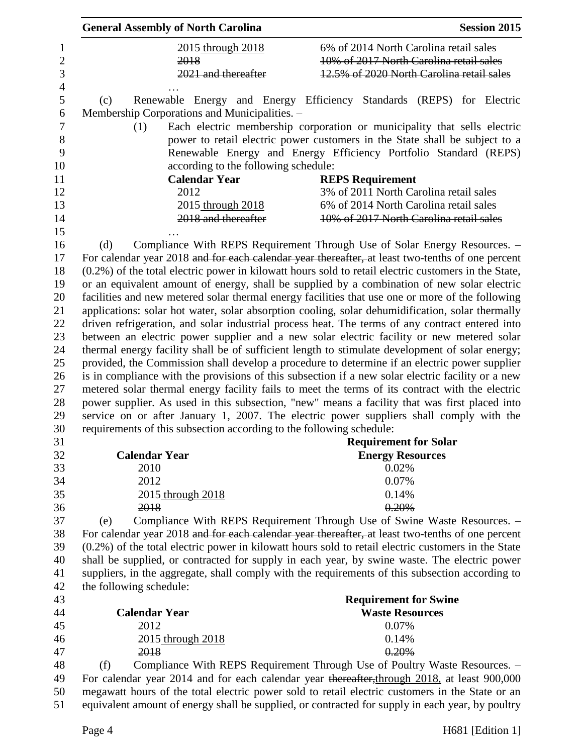| 6% of 2014 North Carolina retail sales<br>2015 through 2018<br>10% of 2017 North Carolina retail sales<br>2018<br>2021 and thereafter<br>12.5% of 2020 North Carolina retail sales<br>Renewable Energy and Energy Efficiency Standards (REPS) for Electric<br>(c)<br>Membership Corporations and Municipalities. -<br>Each electric membership corporation or municipality that sells electric<br>(1)<br>power to retail electric power customers in the State shall be subject to a<br>Renewable Energy and Energy Efficiency Portfolio Standard (REPS)<br>according to the following schedule:<br><b>Calendar Year</b><br><b>REPS Requirement</b><br>3% of 2011 North Carolina retail sales<br>2012<br>6% of 2014 North Carolina retail sales<br>2015 through 2018<br>2018 and thereafter<br>10% of 2017 North Carolina retail sales<br>Compliance With REPS Requirement Through Use of Solar Energy Resources. -<br>(d)<br>For calendar year 2018 and for each calendar year thereafter, at least two-tenths of one percent<br>$(0.2\%)$ of the total electric power in kilowatt hours sold to retail electric customers in the State,<br>or an equivalent amount of energy, shall be supplied by a combination of new solar electric<br>facilities and new metered solar thermal energy facilities that use one or more of the following<br>applications: solar hot water, solar absorption cooling, solar dehumidification, solar thermally<br>driven refrigeration, and solar industrial process heat. The terms of any contract entered into<br>between an electric power supplier and a new solar electric facility or new metered solar<br>thermal energy facility shall be of sufficient length to stimulate development of solar energy;<br>provided, the Commission shall develop a procedure to determine if an electric power supplier<br>is in compliance with the provisions of this subsection if a new solar electric facility or a new<br>metered solar thermal energy facility fails to meet the terms of its contract with the electric<br>power supplier. As used in this subsection, "new" means a facility that was first placed into<br>service on or after January 1, 2007. The electric power suppliers shall comply with the<br>requirements of this subsection according to the following schedule:<br><b>Requirement for Solar</b><br><b>Calendar Year</b><br><b>Energy Resources</b><br>2010<br>0.02%<br>2012<br>0.07%<br>0.14%<br>2015 through 2018<br>0.20%<br>2018<br>Compliance With REPS Requirement Through Use of Swine Waste Resources. -<br>(e)<br>For calendar year 2018 and for each calendar year thereafter, at least two-tenths of one percent<br>$(0.2\%)$ of the total electric power in kilowatt hours sold to retail electric customers in the State<br>shall be supplied, or contracted for supply in each year, by swine waste. The electric power<br>suppliers, in the aggregate, shall comply with the requirements of this subsection according to<br>the following schedule:<br><b>Requirement for Swine</b><br><b>Calendar Year</b><br><b>Waste Resources</b><br>2012<br>0.07%<br>0.14%<br>2015 through 2018<br>0.20%<br>2018<br>Compliance With REPS Requirement Through Use of Poultry Waste Resources. -<br>(f)<br>For calendar year 2014 and for each calendar year thereafter, through 2018, at least 900,000<br>megawatt hours of the total electric power sold to retail electric customers in the State or an<br>equivalent amount of energy shall be supplied, or contracted for supply in each year, by poultry | <b>General Assembly of North Carolina</b> | <b>Session 2015</b> |
|-----------------------------------------------------------------------------------------------------------------------------------------------------------------------------------------------------------------------------------------------------------------------------------------------------------------------------------------------------------------------------------------------------------------------------------------------------------------------------------------------------------------------------------------------------------------------------------------------------------------------------------------------------------------------------------------------------------------------------------------------------------------------------------------------------------------------------------------------------------------------------------------------------------------------------------------------------------------------------------------------------------------------------------------------------------------------------------------------------------------------------------------------------------------------------------------------------------------------------------------------------------------------------------------------------------------------------------------------------------------------------------------------------------------------------------------------------------------------------------------------------------------------------------------------------------------------------------------------------------------------------------------------------------------------------------------------------------------------------------------------------------------------------------------------------------------------------------------------------------------------------------------------------------------------------------------------------------------------------------------------------------------------------------------------------------------------------------------------------------------------------------------------------------------------------------------------------------------------------------------------------------------------------------------------------------------------------------------------------------------------------------------------------------------------------------------------------------------------------------------------------------------------------------------------------------------------------------------------------------------------------------------------------------------------------------------------------------------------------------------------------------------------------------------------------------------------------------------------------------------------------------------------------------------------------------------------------------------------------------------------------------------------------------------------------------------------------------------------------------------------------------------------------------------------------------------------------------------------------------------------------------------------------------------------------------------------------------------------------------------------------------------------------------------------------------------------------------------------------------------------------------------------------------------------------------------------------------|-------------------------------------------|---------------------|
|                                                                                                                                                                                                                                                                                                                                                                                                                                                                                                                                                                                                                                                                                                                                                                                                                                                                                                                                                                                                                                                                                                                                                                                                                                                                                                                                                                                                                                                                                                                                                                                                                                                                                                                                                                                                                                                                                                                                                                                                                                                                                                                                                                                                                                                                                                                                                                                                                                                                                                                                                                                                                                                                                                                                                                                                                                                                                                                                                                                                                                                                                                                                                                                                                                                                                                                                                                                                                                                                                                                                                                                   |                                           |                     |
|                                                                                                                                                                                                                                                                                                                                                                                                                                                                                                                                                                                                                                                                                                                                                                                                                                                                                                                                                                                                                                                                                                                                                                                                                                                                                                                                                                                                                                                                                                                                                                                                                                                                                                                                                                                                                                                                                                                                                                                                                                                                                                                                                                                                                                                                                                                                                                                                                                                                                                                                                                                                                                                                                                                                                                                                                                                                                                                                                                                                                                                                                                                                                                                                                                                                                                                                                                                                                                                                                                                                                                                   |                                           |                     |
|                                                                                                                                                                                                                                                                                                                                                                                                                                                                                                                                                                                                                                                                                                                                                                                                                                                                                                                                                                                                                                                                                                                                                                                                                                                                                                                                                                                                                                                                                                                                                                                                                                                                                                                                                                                                                                                                                                                                                                                                                                                                                                                                                                                                                                                                                                                                                                                                                                                                                                                                                                                                                                                                                                                                                                                                                                                                                                                                                                                                                                                                                                                                                                                                                                                                                                                                                                                                                                                                                                                                                                                   |                                           |                     |
|                                                                                                                                                                                                                                                                                                                                                                                                                                                                                                                                                                                                                                                                                                                                                                                                                                                                                                                                                                                                                                                                                                                                                                                                                                                                                                                                                                                                                                                                                                                                                                                                                                                                                                                                                                                                                                                                                                                                                                                                                                                                                                                                                                                                                                                                                                                                                                                                                                                                                                                                                                                                                                                                                                                                                                                                                                                                                                                                                                                                                                                                                                                                                                                                                                                                                                                                                                                                                                                                                                                                                                                   |                                           |                     |
|                                                                                                                                                                                                                                                                                                                                                                                                                                                                                                                                                                                                                                                                                                                                                                                                                                                                                                                                                                                                                                                                                                                                                                                                                                                                                                                                                                                                                                                                                                                                                                                                                                                                                                                                                                                                                                                                                                                                                                                                                                                                                                                                                                                                                                                                                                                                                                                                                                                                                                                                                                                                                                                                                                                                                                                                                                                                                                                                                                                                                                                                                                                                                                                                                                                                                                                                                                                                                                                                                                                                                                                   |                                           |                     |
|                                                                                                                                                                                                                                                                                                                                                                                                                                                                                                                                                                                                                                                                                                                                                                                                                                                                                                                                                                                                                                                                                                                                                                                                                                                                                                                                                                                                                                                                                                                                                                                                                                                                                                                                                                                                                                                                                                                                                                                                                                                                                                                                                                                                                                                                                                                                                                                                                                                                                                                                                                                                                                                                                                                                                                                                                                                                                                                                                                                                                                                                                                                                                                                                                                                                                                                                                                                                                                                                                                                                                                                   |                                           |                     |
|                                                                                                                                                                                                                                                                                                                                                                                                                                                                                                                                                                                                                                                                                                                                                                                                                                                                                                                                                                                                                                                                                                                                                                                                                                                                                                                                                                                                                                                                                                                                                                                                                                                                                                                                                                                                                                                                                                                                                                                                                                                                                                                                                                                                                                                                                                                                                                                                                                                                                                                                                                                                                                                                                                                                                                                                                                                                                                                                                                                                                                                                                                                                                                                                                                                                                                                                                                                                                                                                                                                                                                                   |                                           |                     |
|                                                                                                                                                                                                                                                                                                                                                                                                                                                                                                                                                                                                                                                                                                                                                                                                                                                                                                                                                                                                                                                                                                                                                                                                                                                                                                                                                                                                                                                                                                                                                                                                                                                                                                                                                                                                                                                                                                                                                                                                                                                                                                                                                                                                                                                                                                                                                                                                                                                                                                                                                                                                                                                                                                                                                                                                                                                                                                                                                                                                                                                                                                                                                                                                                                                                                                                                                                                                                                                                                                                                                                                   |                                           |                     |
|                                                                                                                                                                                                                                                                                                                                                                                                                                                                                                                                                                                                                                                                                                                                                                                                                                                                                                                                                                                                                                                                                                                                                                                                                                                                                                                                                                                                                                                                                                                                                                                                                                                                                                                                                                                                                                                                                                                                                                                                                                                                                                                                                                                                                                                                                                                                                                                                                                                                                                                                                                                                                                                                                                                                                                                                                                                                                                                                                                                                                                                                                                                                                                                                                                                                                                                                                                                                                                                                                                                                                                                   |                                           |                     |
|                                                                                                                                                                                                                                                                                                                                                                                                                                                                                                                                                                                                                                                                                                                                                                                                                                                                                                                                                                                                                                                                                                                                                                                                                                                                                                                                                                                                                                                                                                                                                                                                                                                                                                                                                                                                                                                                                                                                                                                                                                                                                                                                                                                                                                                                                                                                                                                                                                                                                                                                                                                                                                                                                                                                                                                                                                                                                                                                                                                                                                                                                                                                                                                                                                                                                                                                                                                                                                                                                                                                                                                   |                                           |                     |
|                                                                                                                                                                                                                                                                                                                                                                                                                                                                                                                                                                                                                                                                                                                                                                                                                                                                                                                                                                                                                                                                                                                                                                                                                                                                                                                                                                                                                                                                                                                                                                                                                                                                                                                                                                                                                                                                                                                                                                                                                                                                                                                                                                                                                                                                                                                                                                                                                                                                                                                                                                                                                                                                                                                                                                                                                                                                                                                                                                                                                                                                                                                                                                                                                                                                                                                                                                                                                                                                                                                                                                                   |                                           |                     |
|                                                                                                                                                                                                                                                                                                                                                                                                                                                                                                                                                                                                                                                                                                                                                                                                                                                                                                                                                                                                                                                                                                                                                                                                                                                                                                                                                                                                                                                                                                                                                                                                                                                                                                                                                                                                                                                                                                                                                                                                                                                                                                                                                                                                                                                                                                                                                                                                                                                                                                                                                                                                                                                                                                                                                                                                                                                                                                                                                                                                                                                                                                                                                                                                                                                                                                                                                                                                                                                                                                                                                                                   |                                           |                     |
|                                                                                                                                                                                                                                                                                                                                                                                                                                                                                                                                                                                                                                                                                                                                                                                                                                                                                                                                                                                                                                                                                                                                                                                                                                                                                                                                                                                                                                                                                                                                                                                                                                                                                                                                                                                                                                                                                                                                                                                                                                                                                                                                                                                                                                                                                                                                                                                                                                                                                                                                                                                                                                                                                                                                                                                                                                                                                                                                                                                                                                                                                                                                                                                                                                                                                                                                                                                                                                                                                                                                                                                   |                                           |                     |
|                                                                                                                                                                                                                                                                                                                                                                                                                                                                                                                                                                                                                                                                                                                                                                                                                                                                                                                                                                                                                                                                                                                                                                                                                                                                                                                                                                                                                                                                                                                                                                                                                                                                                                                                                                                                                                                                                                                                                                                                                                                                                                                                                                                                                                                                                                                                                                                                                                                                                                                                                                                                                                                                                                                                                                                                                                                                                                                                                                                                                                                                                                                                                                                                                                                                                                                                                                                                                                                                                                                                                                                   |                                           |                     |
|                                                                                                                                                                                                                                                                                                                                                                                                                                                                                                                                                                                                                                                                                                                                                                                                                                                                                                                                                                                                                                                                                                                                                                                                                                                                                                                                                                                                                                                                                                                                                                                                                                                                                                                                                                                                                                                                                                                                                                                                                                                                                                                                                                                                                                                                                                                                                                                                                                                                                                                                                                                                                                                                                                                                                                                                                                                                                                                                                                                                                                                                                                                                                                                                                                                                                                                                                                                                                                                                                                                                                                                   |                                           |                     |
|                                                                                                                                                                                                                                                                                                                                                                                                                                                                                                                                                                                                                                                                                                                                                                                                                                                                                                                                                                                                                                                                                                                                                                                                                                                                                                                                                                                                                                                                                                                                                                                                                                                                                                                                                                                                                                                                                                                                                                                                                                                                                                                                                                                                                                                                                                                                                                                                                                                                                                                                                                                                                                                                                                                                                                                                                                                                                                                                                                                                                                                                                                                                                                                                                                                                                                                                                                                                                                                                                                                                                                                   |                                           |                     |
|                                                                                                                                                                                                                                                                                                                                                                                                                                                                                                                                                                                                                                                                                                                                                                                                                                                                                                                                                                                                                                                                                                                                                                                                                                                                                                                                                                                                                                                                                                                                                                                                                                                                                                                                                                                                                                                                                                                                                                                                                                                                                                                                                                                                                                                                                                                                                                                                                                                                                                                                                                                                                                                                                                                                                                                                                                                                                                                                                                                                                                                                                                                                                                                                                                                                                                                                                                                                                                                                                                                                                                                   |                                           |                     |
|                                                                                                                                                                                                                                                                                                                                                                                                                                                                                                                                                                                                                                                                                                                                                                                                                                                                                                                                                                                                                                                                                                                                                                                                                                                                                                                                                                                                                                                                                                                                                                                                                                                                                                                                                                                                                                                                                                                                                                                                                                                                                                                                                                                                                                                                                                                                                                                                                                                                                                                                                                                                                                                                                                                                                                                                                                                                                                                                                                                                                                                                                                                                                                                                                                                                                                                                                                                                                                                                                                                                                                                   |                                           |                     |
|                                                                                                                                                                                                                                                                                                                                                                                                                                                                                                                                                                                                                                                                                                                                                                                                                                                                                                                                                                                                                                                                                                                                                                                                                                                                                                                                                                                                                                                                                                                                                                                                                                                                                                                                                                                                                                                                                                                                                                                                                                                                                                                                                                                                                                                                                                                                                                                                                                                                                                                                                                                                                                                                                                                                                                                                                                                                                                                                                                                                                                                                                                                                                                                                                                                                                                                                                                                                                                                                                                                                                                                   |                                           |                     |
|                                                                                                                                                                                                                                                                                                                                                                                                                                                                                                                                                                                                                                                                                                                                                                                                                                                                                                                                                                                                                                                                                                                                                                                                                                                                                                                                                                                                                                                                                                                                                                                                                                                                                                                                                                                                                                                                                                                                                                                                                                                                                                                                                                                                                                                                                                                                                                                                                                                                                                                                                                                                                                                                                                                                                                                                                                                                                                                                                                                                                                                                                                                                                                                                                                                                                                                                                                                                                                                                                                                                                                                   |                                           |                     |
|                                                                                                                                                                                                                                                                                                                                                                                                                                                                                                                                                                                                                                                                                                                                                                                                                                                                                                                                                                                                                                                                                                                                                                                                                                                                                                                                                                                                                                                                                                                                                                                                                                                                                                                                                                                                                                                                                                                                                                                                                                                                                                                                                                                                                                                                                                                                                                                                                                                                                                                                                                                                                                                                                                                                                                                                                                                                                                                                                                                                                                                                                                                                                                                                                                                                                                                                                                                                                                                                                                                                                                                   |                                           |                     |
|                                                                                                                                                                                                                                                                                                                                                                                                                                                                                                                                                                                                                                                                                                                                                                                                                                                                                                                                                                                                                                                                                                                                                                                                                                                                                                                                                                                                                                                                                                                                                                                                                                                                                                                                                                                                                                                                                                                                                                                                                                                                                                                                                                                                                                                                                                                                                                                                                                                                                                                                                                                                                                                                                                                                                                                                                                                                                                                                                                                                                                                                                                                                                                                                                                                                                                                                                                                                                                                                                                                                                                                   |                                           |                     |
|                                                                                                                                                                                                                                                                                                                                                                                                                                                                                                                                                                                                                                                                                                                                                                                                                                                                                                                                                                                                                                                                                                                                                                                                                                                                                                                                                                                                                                                                                                                                                                                                                                                                                                                                                                                                                                                                                                                                                                                                                                                                                                                                                                                                                                                                                                                                                                                                                                                                                                                                                                                                                                                                                                                                                                                                                                                                                                                                                                                                                                                                                                                                                                                                                                                                                                                                                                                                                                                                                                                                                                                   |                                           |                     |
|                                                                                                                                                                                                                                                                                                                                                                                                                                                                                                                                                                                                                                                                                                                                                                                                                                                                                                                                                                                                                                                                                                                                                                                                                                                                                                                                                                                                                                                                                                                                                                                                                                                                                                                                                                                                                                                                                                                                                                                                                                                                                                                                                                                                                                                                                                                                                                                                                                                                                                                                                                                                                                                                                                                                                                                                                                                                                                                                                                                                                                                                                                                                                                                                                                                                                                                                                                                                                                                                                                                                                                                   |                                           |                     |
|                                                                                                                                                                                                                                                                                                                                                                                                                                                                                                                                                                                                                                                                                                                                                                                                                                                                                                                                                                                                                                                                                                                                                                                                                                                                                                                                                                                                                                                                                                                                                                                                                                                                                                                                                                                                                                                                                                                                                                                                                                                                                                                                                                                                                                                                                                                                                                                                                                                                                                                                                                                                                                                                                                                                                                                                                                                                                                                                                                                                                                                                                                                                                                                                                                                                                                                                                                                                                                                                                                                                                                                   |                                           |                     |
|                                                                                                                                                                                                                                                                                                                                                                                                                                                                                                                                                                                                                                                                                                                                                                                                                                                                                                                                                                                                                                                                                                                                                                                                                                                                                                                                                                                                                                                                                                                                                                                                                                                                                                                                                                                                                                                                                                                                                                                                                                                                                                                                                                                                                                                                                                                                                                                                                                                                                                                                                                                                                                                                                                                                                                                                                                                                                                                                                                                                                                                                                                                                                                                                                                                                                                                                                                                                                                                                                                                                                                                   |                                           |                     |
|                                                                                                                                                                                                                                                                                                                                                                                                                                                                                                                                                                                                                                                                                                                                                                                                                                                                                                                                                                                                                                                                                                                                                                                                                                                                                                                                                                                                                                                                                                                                                                                                                                                                                                                                                                                                                                                                                                                                                                                                                                                                                                                                                                                                                                                                                                                                                                                                                                                                                                                                                                                                                                                                                                                                                                                                                                                                                                                                                                                                                                                                                                                                                                                                                                                                                                                                                                                                                                                                                                                                                                                   |                                           |                     |
|                                                                                                                                                                                                                                                                                                                                                                                                                                                                                                                                                                                                                                                                                                                                                                                                                                                                                                                                                                                                                                                                                                                                                                                                                                                                                                                                                                                                                                                                                                                                                                                                                                                                                                                                                                                                                                                                                                                                                                                                                                                                                                                                                                                                                                                                                                                                                                                                                                                                                                                                                                                                                                                                                                                                                                                                                                                                                                                                                                                                                                                                                                                                                                                                                                                                                                                                                                                                                                                                                                                                                                                   |                                           |                     |
|                                                                                                                                                                                                                                                                                                                                                                                                                                                                                                                                                                                                                                                                                                                                                                                                                                                                                                                                                                                                                                                                                                                                                                                                                                                                                                                                                                                                                                                                                                                                                                                                                                                                                                                                                                                                                                                                                                                                                                                                                                                                                                                                                                                                                                                                                                                                                                                                                                                                                                                                                                                                                                                                                                                                                                                                                                                                                                                                                                                                                                                                                                                                                                                                                                                                                                                                                                                                                                                                                                                                                                                   |                                           |                     |
|                                                                                                                                                                                                                                                                                                                                                                                                                                                                                                                                                                                                                                                                                                                                                                                                                                                                                                                                                                                                                                                                                                                                                                                                                                                                                                                                                                                                                                                                                                                                                                                                                                                                                                                                                                                                                                                                                                                                                                                                                                                                                                                                                                                                                                                                                                                                                                                                                                                                                                                                                                                                                                                                                                                                                                                                                                                                                                                                                                                                                                                                                                                                                                                                                                                                                                                                                                                                                                                                                                                                                                                   |                                           |                     |
|                                                                                                                                                                                                                                                                                                                                                                                                                                                                                                                                                                                                                                                                                                                                                                                                                                                                                                                                                                                                                                                                                                                                                                                                                                                                                                                                                                                                                                                                                                                                                                                                                                                                                                                                                                                                                                                                                                                                                                                                                                                                                                                                                                                                                                                                                                                                                                                                                                                                                                                                                                                                                                                                                                                                                                                                                                                                                                                                                                                                                                                                                                                                                                                                                                                                                                                                                                                                                                                                                                                                                                                   |                                           |                     |
|                                                                                                                                                                                                                                                                                                                                                                                                                                                                                                                                                                                                                                                                                                                                                                                                                                                                                                                                                                                                                                                                                                                                                                                                                                                                                                                                                                                                                                                                                                                                                                                                                                                                                                                                                                                                                                                                                                                                                                                                                                                                                                                                                                                                                                                                                                                                                                                                                                                                                                                                                                                                                                                                                                                                                                                                                                                                                                                                                                                                                                                                                                                                                                                                                                                                                                                                                                                                                                                                                                                                                                                   |                                           |                     |
|                                                                                                                                                                                                                                                                                                                                                                                                                                                                                                                                                                                                                                                                                                                                                                                                                                                                                                                                                                                                                                                                                                                                                                                                                                                                                                                                                                                                                                                                                                                                                                                                                                                                                                                                                                                                                                                                                                                                                                                                                                                                                                                                                                                                                                                                                                                                                                                                                                                                                                                                                                                                                                                                                                                                                                                                                                                                                                                                                                                                                                                                                                                                                                                                                                                                                                                                                                                                                                                                                                                                                                                   |                                           |                     |
|                                                                                                                                                                                                                                                                                                                                                                                                                                                                                                                                                                                                                                                                                                                                                                                                                                                                                                                                                                                                                                                                                                                                                                                                                                                                                                                                                                                                                                                                                                                                                                                                                                                                                                                                                                                                                                                                                                                                                                                                                                                                                                                                                                                                                                                                                                                                                                                                                                                                                                                                                                                                                                                                                                                                                                                                                                                                                                                                                                                                                                                                                                                                                                                                                                                                                                                                                                                                                                                                                                                                                                                   |                                           |                     |
|                                                                                                                                                                                                                                                                                                                                                                                                                                                                                                                                                                                                                                                                                                                                                                                                                                                                                                                                                                                                                                                                                                                                                                                                                                                                                                                                                                                                                                                                                                                                                                                                                                                                                                                                                                                                                                                                                                                                                                                                                                                                                                                                                                                                                                                                                                                                                                                                                                                                                                                                                                                                                                                                                                                                                                                                                                                                                                                                                                                                                                                                                                                                                                                                                                                                                                                                                                                                                                                                                                                                                                                   |                                           |                     |
|                                                                                                                                                                                                                                                                                                                                                                                                                                                                                                                                                                                                                                                                                                                                                                                                                                                                                                                                                                                                                                                                                                                                                                                                                                                                                                                                                                                                                                                                                                                                                                                                                                                                                                                                                                                                                                                                                                                                                                                                                                                                                                                                                                                                                                                                                                                                                                                                                                                                                                                                                                                                                                                                                                                                                                                                                                                                                                                                                                                                                                                                                                                                                                                                                                                                                                                                                                                                                                                                                                                                                                                   |                                           |                     |
|                                                                                                                                                                                                                                                                                                                                                                                                                                                                                                                                                                                                                                                                                                                                                                                                                                                                                                                                                                                                                                                                                                                                                                                                                                                                                                                                                                                                                                                                                                                                                                                                                                                                                                                                                                                                                                                                                                                                                                                                                                                                                                                                                                                                                                                                                                                                                                                                                                                                                                                                                                                                                                                                                                                                                                                                                                                                                                                                                                                                                                                                                                                                                                                                                                                                                                                                                                                                                                                                                                                                                                                   |                                           |                     |
|                                                                                                                                                                                                                                                                                                                                                                                                                                                                                                                                                                                                                                                                                                                                                                                                                                                                                                                                                                                                                                                                                                                                                                                                                                                                                                                                                                                                                                                                                                                                                                                                                                                                                                                                                                                                                                                                                                                                                                                                                                                                                                                                                                                                                                                                                                                                                                                                                                                                                                                                                                                                                                                                                                                                                                                                                                                                                                                                                                                                                                                                                                                                                                                                                                                                                                                                                                                                                                                                                                                                                                                   |                                           |                     |
|                                                                                                                                                                                                                                                                                                                                                                                                                                                                                                                                                                                                                                                                                                                                                                                                                                                                                                                                                                                                                                                                                                                                                                                                                                                                                                                                                                                                                                                                                                                                                                                                                                                                                                                                                                                                                                                                                                                                                                                                                                                                                                                                                                                                                                                                                                                                                                                                                                                                                                                                                                                                                                                                                                                                                                                                                                                                                                                                                                                                                                                                                                                                                                                                                                                                                                                                                                                                                                                                                                                                                                                   |                                           |                     |
|                                                                                                                                                                                                                                                                                                                                                                                                                                                                                                                                                                                                                                                                                                                                                                                                                                                                                                                                                                                                                                                                                                                                                                                                                                                                                                                                                                                                                                                                                                                                                                                                                                                                                                                                                                                                                                                                                                                                                                                                                                                                                                                                                                                                                                                                                                                                                                                                                                                                                                                                                                                                                                                                                                                                                                                                                                                                                                                                                                                                                                                                                                                                                                                                                                                                                                                                                                                                                                                                                                                                                                                   |                                           |                     |
|                                                                                                                                                                                                                                                                                                                                                                                                                                                                                                                                                                                                                                                                                                                                                                                                                                                                                                                                                                                                                                                                                                                                                                                                                                                                                                                                                                                                                                                                                                                                                                                                                                                                                                                                                                                                                                                                                                                                                                                                                                                                                                                                                                                                                                                                                                                                                                                                                                                                                                                                                                                                                                                                                                                                                                                                                                                                                                                                                                                                                                                                                                                                                                                                                                                                                                                                                                                                                                                                                                                                                                                   |                                           |                     |
|                                                                                                                                                                                                                                                                                                                                                                                                                                                                                                                                                                                                                                                                                                                                                                                                                                                                                                                                                                                                                                                                                                                                                                                                                                                                                                                                                                                                                                                                                                                                                                                                                                                                                                                                                                                                                                                                                                                                                                                                                                                                                                                                                                                                                                                                                                                                                                                                                                                                                                                                                                                                                                                                                                                                                                                                                                                                                                                                                                                                                                                                                                                                                                                                                                                                                                                                                                                                                                                                                                                                                                                   |                                           |                     |
|                                                                                                                                                                                                                                                                                                                                                                                                                                                                                                                                                                                                                                                                                                                                                                                                                                                                                                                                                                                                                                                                                                                                                                                                                                                                                                                                                                                                                                                                                                                                                                                                                                                                                                                                                                                                                                                                                                                                                                                                                                                                                                                                                                                                                                                                                                                                                                                                                                                                                                                                                                                                                                                                                                                                                                                                                                                                                                                                                                                                                                                                                                                                                                                                                                                                                                                                                                                                                                                                                                                                                                                   |                                           |                     |
|                                                                                                                                                                                                                                                                                                                                                                                                                                                                                                                                                                                                                                                                                                                                                                                                                                                                                                                                                                                                                                                                                                                                                                                                                                                                                                                                                                                                                                                                                                                                                                                                                                                                                                                                                                                                                                                                                                                                                                                                                                                                                                                                                                                                                                                                                                                                                                                                                                                                                                                                                                                                                                                                                                                                                                                                                                                                                                                                                                                                                                                                                                                                                                                                                                                                                                                                                                                                                                                                                                                                                                                   |                                           |                     |
|                                                                                                                                                                                                                                                                                                                                                                                                                                                                                                                                                                                                                                                                                                                                                                                                                                                                                                                                                                                                                                                                                                                                                                                                                                                                                                                                                                                                                                                                                                                                                                                                                                                                                                                                                                                                                                                                                                                                                                                                                                                                                                                                                                                                                                                                                                                                                                                                                                                                                                                                                                                                                                                                                                                                                                                                                                                                                                                                                                                                                                                                                                                                                                                                                                                                                                                                                                                                                                                                                                                                                                                   |                                           |                     |
|                                                                                                                                                                                                                                                                                                                                                                                                                                                                                                                                                                                                                                                                                                                                                                                                                                                                                                                                                                                                                                                                                                                                                                                                                                                                                                                                                                                                                                                                                                                                                                                                                                                                                                                                                                                                                                                                                                                                                                                                                                                                                                                                                                                                                                                                                                                                                                                                                                                                                                                                                                                                                                                                                                                                                                                                                                                                                                                                                                                                                                                                                                                                                                                                                                                                                                                                                                                                                                                                                                                                                                                   |                                           |                     |
|                                                                                                                                                                                                                                                                                                                                                                                                                                                                                                                                                                                                                                                                                                                                                                                                                                                                                                                                                                                                                                                                                                                                                                                                                                                                                                                                                                                                                                                                                                                                                                                                                                                                                                                                                                                                                                                                                                                                                                                                                                                                                                                                                                                                                                                                                                                                                                                                                                                                                                                                                                                                                                                                                                                                                                                                                                                                                                                                                                                                                                                                                                                                                                                                                                                                                                                                                                                                                                                                                                                                                                                   |                                           |                     |
|                                                                                                                                                                                                                                                                                                                                                                                                                                                                                                                                                                                                                                                                                                                                                                                                                                                                                                                                                                                                                                                                                                                                                                                                                                                                                                                                                                                                                                                                                                                                                                                                                                                                                                                                                                                                                                                                                                                                                                                                                                                                                                                                                                                                                                                                                                                                                                                                                                                                                                                                                                                                                                                                                                                                                                                                                                                                                                                                                                                                                                                                                                                                                                                                                                                                                                                                                                                                                                                                                                                                                                                   |                                           |                     |
|                                                                                                                                                                                                                                                                                                                                                                                                                                                                                                                                                                                                                                                                                                                                                                                                                                                                                                                                                                                                                                                                                                                                                                                                                                                                                                                                                                                                                                                                                                                                                                                                                                                                                                                                                                                                                                                                                                                                                                                                                                                                                                                                                                                                                                                                                                                                                                                                                                                                                                                                                                                                                                                                                                                                                                                                                                                                                                                                                                                                                                                                                                                                                                                                                                                                                                                                                                                                                                                                                                                                                                                   |                                           |                     |
|                                                                                                                                                                                                                                                                                                                                                                                                                                                                                                                                                                                                                                                                                                                                                                                                                                                                                                                                                                                                                                                                                                                                                                                                                                                                                                                                                                                                                                                                                                                                                                                                                                                                                                                                                                                                                                                                                                                                                                                                                                                                                                                                                                                                                                                                                                                                                                                                                                                                                                                                                                                                                                                                                                                                                                                                                                                                                                                                                                                                                                                                                                                                                                                                                                                                                                                                                                                                                                                                                                                                                                                   |                                           |                     |
|                                                                                                                                                                                                                                                                                                                                                                                                                                                                                                                                                                                                                                                                                                                                                                                                                                                                                                                                                                                                                                                                                                                                                                                                                                                                                                                                                                                                                                                                                                                                                                                                                                                                                                                                                                                                                                                                                                                                                                                                                                                                                                                                                                                                                                                                                                                                                                                                                                                                                                                                                                                                                                                                                                                                                                                                                                                                                                                                                                                                                                                                                                                                                                                                                                                                                                                                                                                                                                                                                                                                                                                   |                                           |                     |
|                                                                                                                                                                                                                                                                                                                                                                                                                                                                                                                                                                                                                                                                                                                                                                                                                                                                                                                                                                                                                                                                                                                                                                                                                                                                                                                                                                                                                                                                                                                                                                                                                                                                                                                                                                                                                                                                                                                                                                                                                                                                                                                                                                                                                                                                                                                                                                                                                                                                                                                                                                                                                                                                                                                                                                                                                                                                                                                                                                                                                                                                                                                                                                                                                                                                                                                                                                                                                                                                                                                                                                                   |                                           |                     |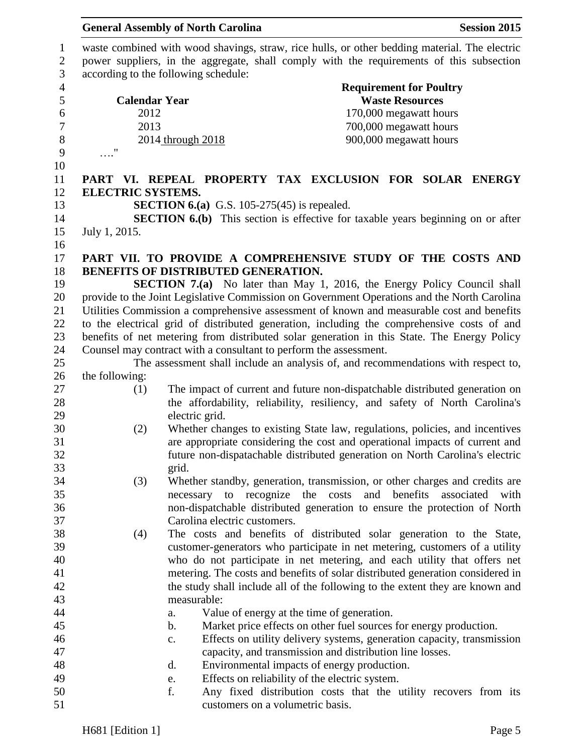|                  |                          | <b>General Assembly of North Carolina</b>                         |                                                                                               | <b>Session 2015</b>                                                                           |
|------------------|--------------------------|-------------------------------------------------------------------|-----------------------------------------------------------------------------------------------|-----------------------------------------------------------------------------------------------|
| $\mathbf{1}$     |                          |                                                                   |                                                                                               | waste combined with wood shavings, straw, rice hulls, or other bedding material. The electric |
| $\sqrt{2}$       |                          |                                                                   |                                                                                               | power suppliers, in the aggregate, shall comply with the requirements of this subsection      |
| 3                |                          | according to the following schedule:                              |                                                                                               |                                                                                               |
| $\overline{4}$   |                          |                                                                   |                                                                                               | <b>Requirement for Poultry</b>                                                                |
| 5                | <b>Calendar Year</b>     |                                                                   |                                                                                               | <b>Waste Resources</b>                                                                        |
| $\boldsymbol{6}$ | 2012                     |                                                                   |                                                                                               | 170,000 megawatt hours                                                                        |
| $\boldsymbol{7}$ | 2013                     |                                                                   |                                                                                               | 700,000 megawatt hours                                                                        |
| $\,8\,$          |                          | 2014 through 2018                                                 |                                                                                               | 900,000 megawatt hours                                                                        |
| 9                | $\overline{\phantom{a}}$ |                                                                   |                                                                                               |                                                                                               |
| 10               |                          |                                                                   |                                                                                               |                                                                                               |
| 11               |                          |                                                                   |                                                                                               | PART VI. REPEAL PROPERTY TAX EXCLUSION FOR SOLAR ENERGY                                       |
| 12               | <b>ELECTRIC SYSTEMS.</b> |                                                                   |                                                                                               |                                                                                               |
| 13               |                          | <b>SECTION 6.(a)</b> G.S. 105-275(45) is repealed.                |                                                                                               |                                                                                               |
| 14               |                          |                                                                   |                                                                                               | <b>SECTION 6.(b)</b> This section is effective for taxable years beginning on or after        |
| 15               | July 1, 2015.            |                                                                   |                                                                                               |                                                                                               |
| 16               |                          |                                                                   |                                                                                               |                                                                                               |
| 17               |                          |                                                                   |                                                                                               | PART VII. TO PROVIDE A COMPREHENSIVE STUDY OF THE COSTS AND                                   |
| 18               |                          | BENEFITS OF DISTRIBUTED GENERATION.                               |                                                                                               |                                                                                               |
| 19               |                          |                                                                   |                                                                                               | <b>SECTION 7.(a)</b> No later than May 1, 2016, the Energy Policy Council shall               |
| 20               |                          |                                                                   |                                                                                               | provide to the Joint Legislative Commission on Government Operations and the North Carolina   |
| 21               |                          |                                                                   |                                                                                               | Utilities Commission a comprehensive assessment of known and measurable cost and benefits     |
| 22               |                          |                                                                   |                                                                                               | to the electrical grid of distributed generation, including the comprehensive costs of and    |
| 23               |                          |                                                                   |                                                                                               | benefits of net metering from distributed solar generation in this State. The Energy Policy   |
| 24               |                          | Counsel may contract with a consultant to perform the assessment. |                                                                                               |                                                                                               |
| 25               |                          |                                                                   |                                                                                               | The assessment shall include an analysis of, and recommendations with respect to,             |
| 26               | the following:           |                                                                   |                                                                                               |                                                                                               |
| 27               | (1)                      |                                                                   |                                                                                               | The impact of current and future non-dispatchable distributed generation on                   |
| 28               |                          |                                                                   |                                                                                               | the affordability, reliability, resiliency, and safety of North Carolina's                    |
| 29               |                          | electric grid.                                                    |                                                                                               |                                                                                               |
| 30               | (2)                      |                                                                   |                                                                                               | Whether changes to existing State law, regulations, policies, and incentives                  |
| 31               |                          |                                                                   |                                                                                               | are appropriate considering the cost and operational impacts of current and                   |
| 32               |                          |                                                                   |                                                                                               | future non-dispatachable distributed generation on North Carolina's electric                  |
| 33               |                          | grid.                                                             |                                                                                               |                                                                                               |
| 34               |                          |                                                                   |                                                                                               | Whether standby, generation, transmission, or other charges and credits are                   |
| 35               | (3)                      | necessary to recognize the costs                                  | and                                                                                           | benefits<br>associated<br>with                                                                |
| 36               |                          |                                                                   |                                                                                               | non-dispatchable distributed generation to ensure the protection of North                     |
| 37               |                          | Carolina electric customers.                                      |                                                                                               |                                                                                               |
| 38               | (4)                      |                                                                   |                                                                                               | The costs and benefits of distributed solar generation to the State,                          |
| 39               |                          |                                                                   |                                                                                               | customer-generators who participate in net metering, customers of a utility                   |
| 40               |                          |                                                                   |                                                                                               | who do not participate in net metering, and each utility that offers net                      |
| 41               |                          |                                                                   |                                                                                               | metering. The costs and benefits of solar distributed generation considered in                |
| 42               |                          |                                                                   |                                                                                               | the study shall include all of the following to the extent they are known and                 |
| 43               |                          | measurable:                                                       |                                                                                               |                                                                                               |
| 44               |                          |                                                                   |                                                                                               |                                                                                               |
| 45               |                          | a.<br>b.                                                          | Value of energy at the time of generation.                                                    | Market price effects on other fuel sources for energy production.                             |
| 46               |                          |                                                                   |                                                                                               |                                                                                               |
| 47               |                          | c.                                                                | capacity, and transmission and distribution line losses.                                      | Effects on utility delivery systems, generation capacity, transmission                        |
| 48               |                          | d.                                                                |                                                                                               |                                                                                               |
| 49               |                          |                                                                   | Environmental impacts of energy production.<br>Effects on reliability of the electric system. |                                                                                               |
| 50               |                          | e.<br>f.                                                          |                                                                                               | Any fixed distribution costs that the utility recovers from its                               |
| 51               |                          | customers on a volumetric basis.                                  |                                                                                               |                                                                                               |
|                  |                          |                                                                   |                                                                                               |                                                                                               |